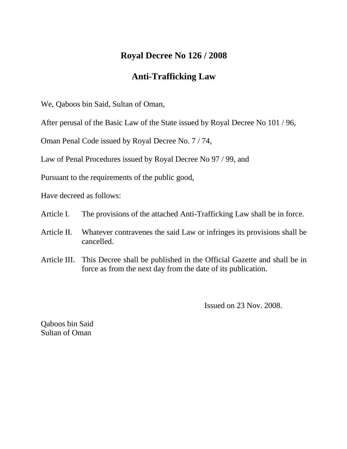## **Royal Decree No 126 / 2008**

## **Anti-Trafficking Law**

We, Qaboos bin Said, Sultan of Oman,

After perusal of the Basic Law of the State issued by Royal Decree No 101 / 96,

Oman Penal Code issued by Royal Decree No. 7 / 74,

Law of Penal Procedures issued by Royal Decree No 97 / 99, and

Pursuant to the requirements of the public good,

Have decreed as follows:

- Article I. The provisions of the attached Anti-Trafficking Law shall be in force.
- Article II. Whatever contravenes the said Law or infringes its provisions shall be cancelled.
- Article III. This Decree shall be published in the Official Gazette and shall be in force as from the next day from the date of its publication.

Issued on 23 Nov. 2008.

Qaboos bin Said Sultan of Oman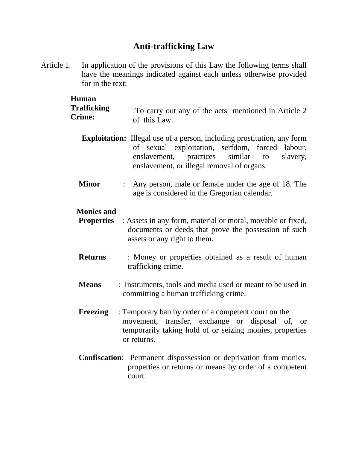# **Anti-trafficking Law**

Article 1. In application of the provisions of this Law the following terms shall have the meanings indicated against each unless otherwise provided for in the text:

| <b>Human</b><br><b>Trafficking</b><br><b>Crime:</b> | To carry out any of the acts mentioned in Article 2<br>of this Law.                                                                                                                                                                       |
|-----------------------------------------------------|-------------------------------------------------------------------------------------------------------------------------------------------------------------------------------------------------------------------------------------------|
|                                                     | <b>Exploitation:</b> Illegal use of a person, including prostitution, any form<br>of sexual exploitation,<br>serfdom, forced labour,<br>similar<br>enslavement, practices<br>slavery,<br>to<br>enslavement, or illegal removal of organs. |
| <b>Minor</b>                                        | Any person, male or female under the age of 18. The<br>$\mathbb{R}^{\mathbb{Z}}$<br>age is considered in the Gregorian calendar.                                                                                                          |
| <b>Monies and</b><br><b>Properties</b>              | : Assets in any form, material or moral, movable or fixed,<br>documents or deeds that prove the possession of such<br>assets or any right to them.                                                                                        |
| <b>Returns</b>                                      | : Money or properties obtained as a result of human<br>trafficking crime.                                                                                                                                                                 |
| <b>Means</b>                                        | : Instruments, tools and media used or meant to be used in<br>committing a human trafficking crime.                                                                                                                                       |
| <b>Freezing</b>                                     | : Temporary ban by order of a competent court on the<br>movement, transfer, exchange or disposal of, or<br>temporarily taking hold of or seizing monies, properties<br>or returns.                                                        |
|                                                     | <b>Confiscation:</b> Permanent dispossession or deprivation from monies,<br>outing on actions of the second loss and on a C a loss                                                                                                        |

properties or returns or means by order of a competent court.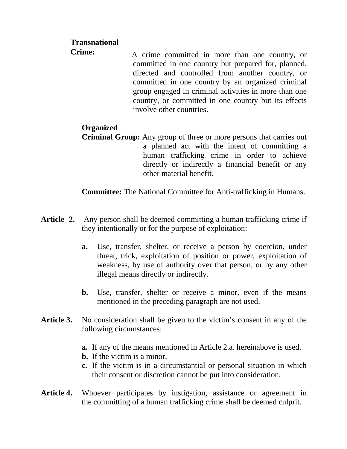#### **Transnational**

 A crime committed in more than one country, or committed in one country but prepared for, planned, directed and controlled from another country, or committed in one country by an organized criminal group engaged in criminal activities in more than one country, or committed in one country but its effects involve other countries. **Crime:**

### **Organized**

**Criminal Group:** Any group of three or more persons that carries out a planned act with the intent of committing a human trafficking crime in order to achieve directly or indirectly a financial benefit or any other material benefit.

**Committee:** The National Committee for Anti-trafficking in Humans.

- **Article 2.** Any person shall be deemed committing a human trafficking crime if they intentionally or for the purpose of exploitation:
	- **a.** Use, transfer, shelter, or receive a person by coercion, under threat, trick, exploitation of position or power, exploitation of weakness, by use of authority over that person, or by any other illegal means directly or indirectly.
	- **b.** Use, transfer, shelter or receive a minor, even if the means mentioned in the preceding paragraph are not used.
- **Article 3.** No consideration shall be given to the victim's consent in any of the following circumstances:
	- **a.** If any of the means mentioned in Article 2.a. hereinabove is used.
	- **b.** If the victim is a minor.
	- **c.** If the victim is in a circumstantial or personal situation in which their consent or discretion cannot be put into consideration.
- **Article 4.** Whoever participates by instigation, assistance or agreement in the committing of a human trafficking crime shall be deemed culprit.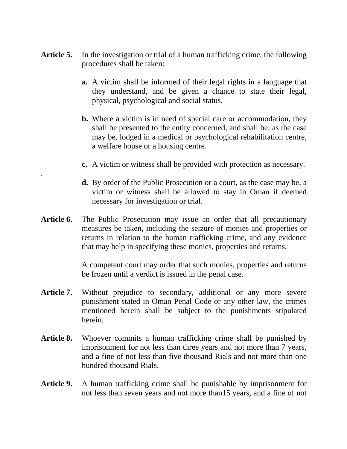- **Article 5.** In the investigation or trial of a human trafficking crime, the following procedures shall be taken:
	- **a.** A victim shall be informed of their legal rights in a language that they understand, and be given a chance to state their legal, physical, psychological and social status.
	- **b.** Where a victim is in need of special care or accommodation, they shall be presented to the entity concerned, and shall be, as the case may be, lodged in a medical or psychological rehabilitation centre, a welfare house or a housing centre.
	- **c.** A victim or witness shall be provided with protection as necessary.
	- **d.** By order of the Public Prosecution or a court, as the case may be, a victim or witness shall be allowed to stay in Oman if deemed necessary for investigation or trial.
- **Article 6.** The Public Prosecution may issue an order that all precautionary measures be taken, including the seizure of monies and properties or returns in relation to the human trafficking crime, and any evidence that may help in specifying these monies, properties and returns.

.

A competent court may order that such monies, properties and returns be frozen until a verdict is issued in the penal case.

- Article 7. Without prejudice to secondary, additional or any more severe punishment stated in Oman Penal Code or any other law, the crimes mentioned herein shall be subject to the punishments stipulated herein.
- Article 8. Whoever commits a human trafficking crime shall be punished by imprisonment for not less than three years and not more than 7 years, and a fine of not less than five thousand Rials and not more than one hundred thousand Rials.
- **Article 9.** A human trafficking crime shall be punishable by imprisonment for not less than seven years and not more than15 years, and a fine of not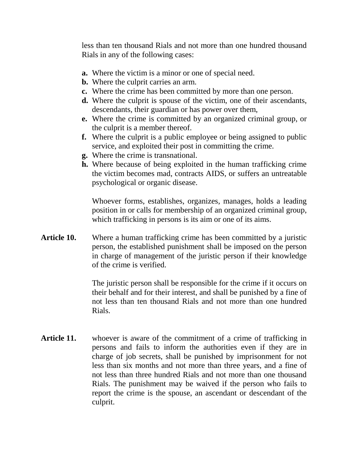less than ten thousand Rials and not more than one hundred thousand Rials in any of the following cases:

- **a.** Where the victim is a minor or one of special need.
- **b.** Where the culprit carries an arm.
- **c.** Where the crime has been committed by more than one person.
- **d.** Where the culprit is spouse of the victim, one of their ascendants, descendants, their guardian or has power over them,
- **e.** Where the crime is committed by an organized criminal group, or the culprit is a member thereof.
- **f.** Where the culprit is a public employee or being assigned to public service, and exploited their post in committing the crime.
- **g.** Where the crime is transnational.
- **h.** Where because of being exploited in the human trafficking crime the victim becomes mad, contracts AIDS, or suffers an untreatable psychological or organic disease.

Whoever forms, establishes, organizes, manages, holds a leading position in or calls for membership of an organized criminal group, which trafficking in persons is its aim or one of its aims.

**Article 10.** Where a human trafficking crime has been committed by a juristic person, the established punishment shall be imposed on the person in charge of management of the juristic person if their knowledge of the crime is verified.

> The juristic person shall be responsible for the crime if it occurs on their behalf and for their interest, and shall be punished by a fine of not less than ten thousand Rials and not more than one hundred Rials.

**Article 11.** whoever is aware of the commitment of a crime of trafficking in persons and fails to inform the authorities even if they are in charge of job secrets, shall be punished by imprisonment for not less than six months and not more than three years, and a fine of not less than three hundred Rials and not more than one thousand Rials. The punishment may be waived if the person who fails to report the crime is the spouse, an ascendant or descendant of the culprit.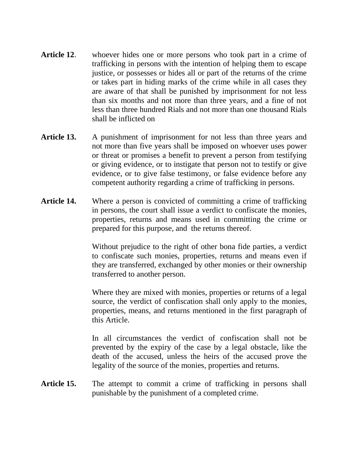- **Article 12**. whoever hides one or more persons who took part in a crime of trafficking in persons with the intention of helping them to escape justice, or possesses or hides all or part of the returns of the crime or takes part in hiding marks of the crime while in all cases they are aware of that shall be punished by imprisonment for not less than six months and not more than three years, and a fine of not less than three hundred Rials and not more than one thousand Rials shall be inflicted on
- **Article 13.** A punishment of imprisonment for not less than three years and not more than five years shall be imposed on whoever uses power or threat or promises a benefit to prevent a person from testifying or giving evidence, or to instigate that person not to testify or give evidence, or to give false testimony, or false evidence before any competent authority regarding a crime of trafficking in persons.
- **Article 14.** Where a person is convicted of committing a crime of trafficking in persons, the court shall issue a verdict to confiscate the monies, properties, returns and means used in committing the crime or prepared for this purpose, and the returns thereof.

Without prejudice to the right of other bona fide parties, a verdict to confiscate such monies, properties, returns and means even if they are transferred, exchanged by other monies or their ownership transferred to another person.

Where they are mixed with monies, properties or returns of a legal source, the verdict of confiscation shall only apply to the monies, properties, means, and returns mentioned in the first paragraph of this Article.

In all circumstances the verdict of confiscation shall not be prevented by the expiry of the case by a legal obstacle, like the death of the accused, unless the heirs of the accused prove the legality of the source of the monies, properties and returns.

Article 15. The attempt to commit a crime of trafficking in persons shall punishable by the punishment of a completed crime.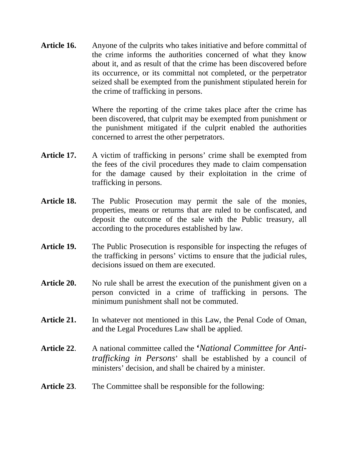**Article 16.** Anyone of the culprits who takes initiative and before committal of the crime informs the authorities concerned of what they know about it, and as result of that the crime has been discovered before its occurrence, or its committal not completed, or the perpetrator seized shall be exempted from the punishment stipulated herein for the crime of trafficking in persons.

> Where the reporting of the crime takes place after the crime has been discovered, that culprit may be exempted from punishment or the punishment mitigated if the culprit enabled the authorities concerned to arrest the other perpetrators.

- Article 17. A victim of trafficking in persons' crime shall be exempted from the fees of the civil procedures they made to claim compensation for the damage caused by their exploitation in the crime of trafficking in persons.
- **Article 18.** The Public Prosecution may permit the sale of the monies, properties, means or returns that are ruled to be confiscated, and deposit the outcome of the sale with the Public treasury, all according to the procedures established by law.
- **Article 19.** The Public Prosecution is responsible for inspecting the refuges of the trafficking in persons' victims to ensure that the judicial rules, decisions issued on them are executed.
- Article 20. No rule shall be arrest the execution of the punishment given on a person convicted in a crime of trafficking in persons. The minimum punishment shall not be commuted.
- Article 21. In whatever not mentioned in this Law, the Penal Code of Oman, and the Legal Procedures Law shall be applied.
- **Article 22**. A national committee called the **'***National Committee for Antitrafficking in Persons*' shall be established by a council of ministers' decision, and shall be chaired by a minister.
- **Article 23**. The Committee shall be responsible for the following: